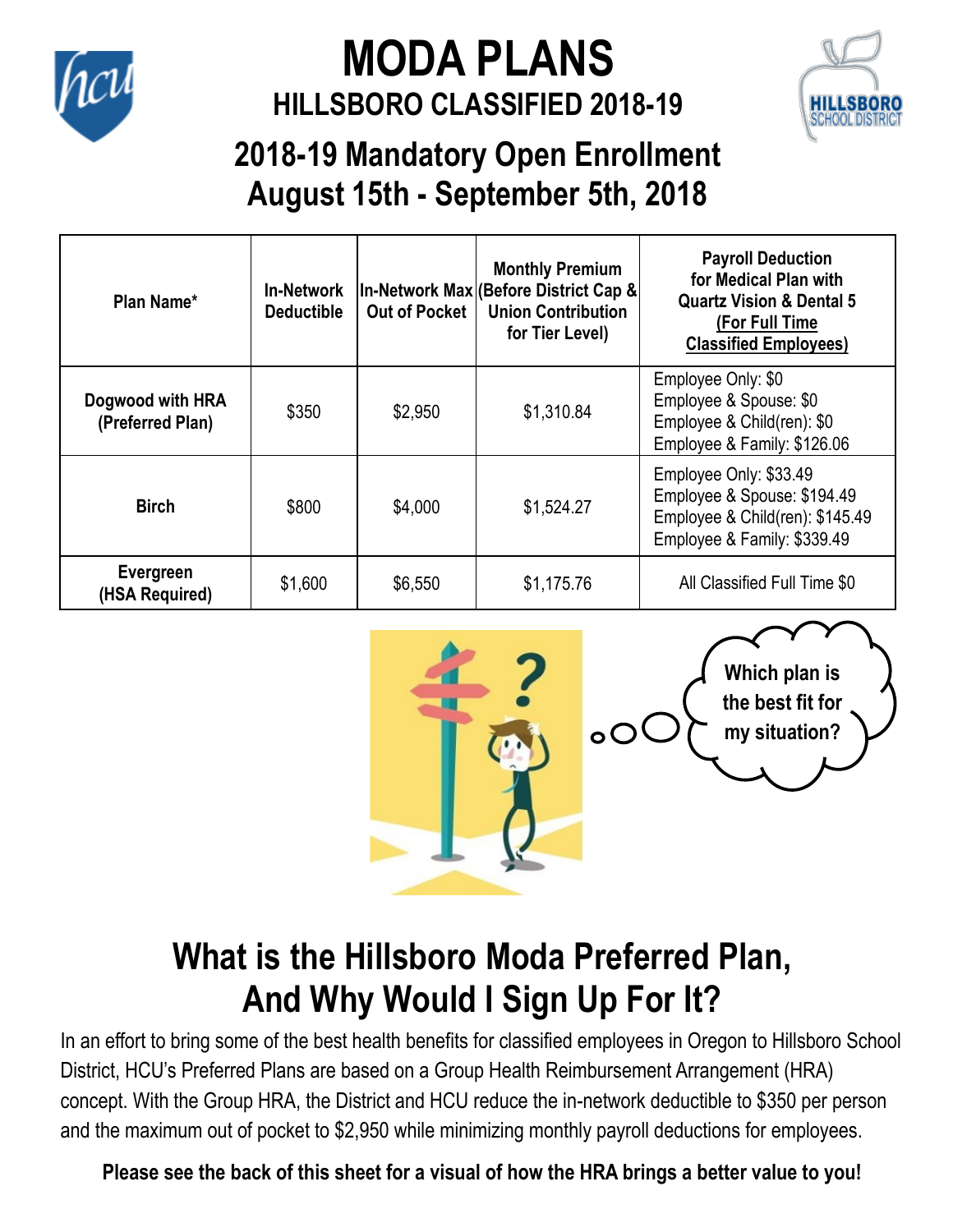

#### **MODA PLANS HILLSBORO CLASSIFIED 2018-19**



#### **2018-19 Mandatory Open Enrollment August 15th - September 5th, 2018**

| Plan Name*                           | <b>In-Network</b><br><b>Deductible</b> | <b>Out of Pocket</b> | <b>Monthly Premium</b><br>In-Network Max (Before District Cap &<br><b>Union Contribution</b><br>for Tier Level) | <b>Payroll Deduction</b><br>for Medical Plan with<br><b>Quartz Vision &amp; Dental 5</b><br>(For Full Time<br><b>Classified Employees)</b> |
|--------------------------------------|----------------------------------------|----------------------|-----------------------------------------------------------------------------------------------------------------|--------------------------------------------------------------------------------------------------------------------------------------------|
| Dogwood with HRA<br>(Preferred Plan) | \$350                                  | \$2,950              | \$1,310.84                                                                                                      | Employee Only: \$0<br>Employee & Spouse: \$0<br>Employee & Child(ren): \$0<br>Employee & Family: \$126.06                                  |
| <b>Birch</b>                         | \$800                                  | \$4,000              | \$1,524.27                                                                                                      | Employee Only: \$33.49<br>Employee & Spouse: \$194.49<br>Employee & Child(ren): \$145.49<br>Employee & Family: \$339.49                    |
| Evergreen<br>(HSA Required)          | \$1,600                                | \$6,550              | \$1,175.76                                                                                                      | All Classified Full Time \$0                                                                                                               |



### **What is the Hillsboro Moda Preferred Plan, And Why Would I Sign Up For It?**

In an effort to bring some of the best health benefits for classified employees in Oregon to Hillsboro School District, HCU's Preferred Plans are based on a Group Health Reimbursement Arrangement (HRA) concept. With the Group HRA, the District and HCU reduce the in-network deductible to \$350 per person and the maximum out of pocket to \$2,950 while minimizing monthly payroll deductions for employees.

**Please see the back of this sheet for a visual of how the HRA brings a better value to you!**